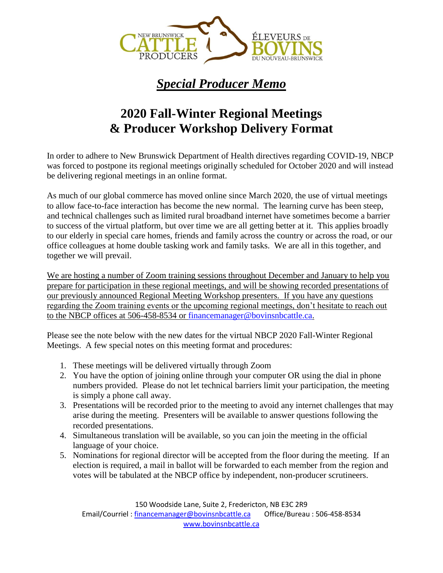

## *Special Producer Memo*

## **2020 Fall-Winter Regional Meetings & Producer Workshop Delivery Format**

In order to adhere to New Brunswick Department of Health directives regarding COVID-19, NBCP was forced to postpone its regional meetings originally scheduled for October 2020 and will instead be delivering regional meetings in an online format.

As much of our global commerce has moved online since March 2020, the use of virtual meetings to allow face-to-face interaction has become the new normal. The learning curve has been steep, and technical challenges such as limited rural broadband internet have sometimes become a barrier to success of the virtual platform, but over time we are all getting better at it. This applies broadly to our elderly in special care homes, friends and family across the country or across the road, or our office colleagues at home double tasking work and family tasks. We are all in this together, and together we will prevail.

We are hosting a number of Zoom training sessions throughout December and January to help you prepare for participation in these regional meetings, and will be showing recorded presentations of our previously announced Regional Meeting Workshop presenters. If you have any questions regarding the Zoom training events or the upcoming regional meetings, don't hesitate to reach out to the NBCP offices at 506-458-8534 or [financemanager@bovinsnbcattle.ca.](mailto:financemanager@bovinsnbcattle.ca)

Please see the note below with the new dates for the virtual NBCP 2020 Fall-Winter Regional Meetings. A few special notes on this meeting format and procedures:

- 1. These meetings will be delivered virtually through Zoom
- 2. You have the option of joining online through your computer OR using the dial in phone numbers provided. Please do not let technical barriers limit your participation, the meeting is simply a phone call away.
- 3. Presentations will be recorded prior to the meeting to avoid any internet challenges that may arise during the meeting. Presenters will be available to answer questions following the recorded presentations.
- 4. Simultaneous translation will be available, so you can join the meeting in the official language of your choice.
- 5. Nominations for regional director will be accepted from the floor during the meeting. If an election is required, a mail in ballot will be forwarded to each member from the region and votes will be tabulated at the NBCP office by independent, non-producer scrutineers.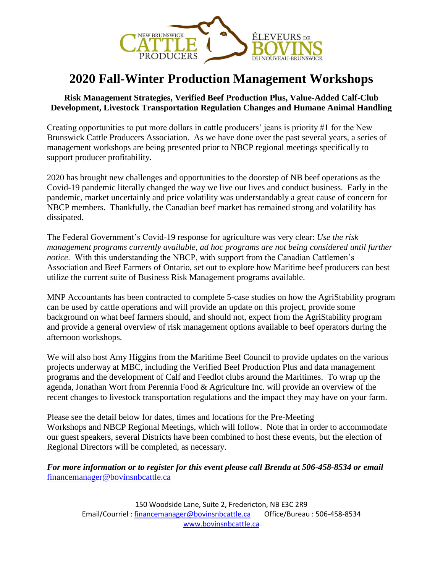

### **2020 Fall-Winter Production Management Workshops**

#### **Risk Management Strategies, Verified Beef Production Plus, Value-Added Calf-Club Development, Livestock Transportation Regulation Changes and Humane Animal Handling**

Creating opportunities to put more dollars in cattle producers' jeans is priority #1 for the New Brunswick Cattle Producers Association. As we have done over the past several years, a series of management workshops are being presented prior to NBCP regional meetings specifically to support producer profitability.

2020 has brought new challenges and opportunities to the doorstep of NB beef operations as the Covid-19 pandemic literally changed the way we live our lives and conduct business. Early in the pandemic, market uncertainly and price volatility was understandably a great cause of concern for NBCP members. Thankfully, the Canadian beef market has remained strong and volatility has dissipated.

The Federal Government's Covid-19 response for agriculture was very clear: *Use the risk management programs currently available, ad hoc programs are not being considered until further notice*. With this understanding the NBCP, with support from the Canadian Cattlemen's Association and Beef Farmers of Ontario, set out to explore how Maritime beef producers can best utilize the current suite of Business Risk Management programs available.

MNP Accountants has been contracted to complete 5-case studies on how the AgriStability program can be used by cattle operations and will provide an update on this project, provide some background on what beef farmers should, and should not, expect from the AgriStability program and provide a general overview of risk management options available to beef operators during the afternoon workshops.

We will also host Amy Higgins from the Maritime Beef Council to provide updates on the various projects underway at MBC, including the Verified Beef Production Plus and data management programs and the development of Calf and Feedlot clubs around the Maritimes. To wrap up the agenda, Jonathan Wort from Perennia Food & Agriculture Inc. will provide an overview of the recent changes to livestock transportation regulations and the impact they may have on your farm.

Please see the detail below for dates, times and locations for the Pre-Meeting Workshops and NBCP Regional Meetings, which will follow. Note that in order to accommodate our guest speakers, several Districts have been combined to host these events, but the election of Regional Directors will be completed, as necessary.

#### *For more information or to register for this event please call Brenda at 506-458-8534 or email*  [financemanager@bovinsnbcattle.ca](mailto:financemanager@bovinsnbcattle.ca)

150 Woodside Lane, Suite 2, Fredericton, NB E3C 2R9 Email/Courriel [: financemanager@bovinsnbcattle.ca](mailto:financemanager@bovinsnbcattle.ca) Office/Bureau : 506-458-8534 [www.bovinsnbcattle.ca](http://www.bovinsnbcattle.ca/)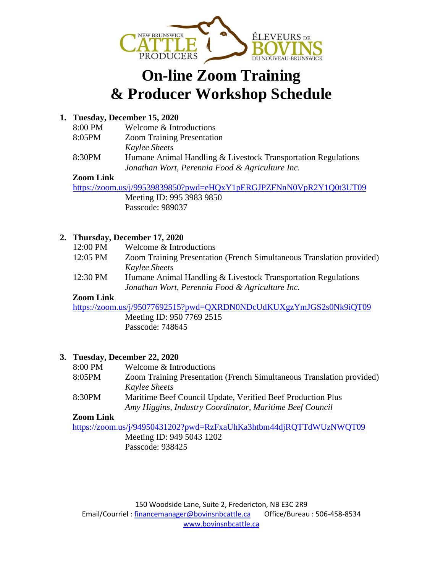

## **On-line Zoom Training & Producer Workshop Schedule**

#### **1. Tuesday, December 15, 2020**

8:00 PM Welcome & Introductions 8:05PM Zoom Training Presentation *Kaylee Sheets* 8:30PM Humane Animal Handling & Livestock Transportation Regulations *Jonathan Wort, Perennia Food & Agriculture Inc.*

#### **Zoom Link**

<https://zoom.us/j/99539839850?pwd=eHQxY1pERGJPZFNnN0VpR2Y1Q0t3UT09> Meeting ID: 995 3983 9850 Passcode: 989037

#### **2. Thursday, December 17, 2020**

| 12:00 PM | Welcome & Introductions |  |
|----------|-------------------------|--|
|----------|-------------------------|--|

- 12:05 PM Zoom Training Presentation (French Simultaneous Translation provided) *Kaylee Sheets*
- 12:30 PM Humane Animal Handling & Livestock Transportation Regulations *Jonathan Wort, Perennia Food & Agriculture Inc.*

#### **Zoom Link**

<https://zoom.us/j/95077692515?pwd=QXRDN0NDcUdKUXgzYmJGS2s0Nk9iQT09>

Meeting ID: 950 7769 2515 Passcode: 748645

#### **3. Tuesday, December 22, 2020**

- 8:00 PM Welcome & Introductions
- 8:05PM Zoom Training Presentation (French Simultaneous Translation provided) *Kaylee Sheets*
- 8:30PM Maritime Beef Council Update, Verified Beef Production Plus *Amy Higgins, Industry Coordinator, Maritime Beef Council*

#### **Zoom Link**

<https://zoom.us/j/94950431202?pwd=RzFxaUhKa3htbm44djRQTTdWUzNWQT09> Meeting ID: 949 5043 1202

Passcode: 938425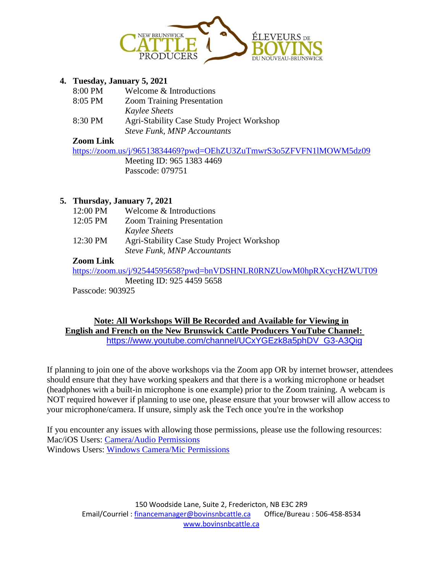

#### **4. Tuesday, January 5, 2021**

| 8:00 PM | Welcome & Introductions                    |
|---------|--------------------------------------------|
| 8:05 PM | <b>Zoom Training Presentation</b>          |
|         | <b>Kaylee Sheets</b>                       |
| 8:30 PM | Agri-Stability Case Study Project Workshop |
|         | <b>Steve Funk, MNP Accountants</b>         |

#### **Zoom Link**

<https://zoom.us/j/96513834469?pwd=OEhZU3ZuTmwrS3o5ZFVFN1lMOWM5dz09> Meeting ID: 965 1383 4469 Passcode: 079751

#### **5. Thursday, January 7, 2021**

| 12:00 PM | Welcome & Introductions                    |
|----------|--------------------------------------------|
| 12:05 PM | <b>Zoom Training Presentation</b>          |
|          | <b>Kaylee Sheets</b>                       |
| 12:30 PM | Agri-Stability Case Study Project Workshop |
|          | <b>Steve Funk, MNP Accountants</b>         |

#### **Zoom Link**

<https://zoom.us/j/92544595658?pwd=bnVDSHNLR0RNZUowM0hpRXcycHZWUT09>

Meeting ID: 925 4459 5658

Passcode: 903925

#### **Note: All Workshops Will Be Recorded and Available for Viewing in English and French on the New Brunswick Cattle Producers YouTube Channel:**  [https://www.youtube.com/channel/UCxYGEzk8a5phDV\\_G3-A3Qig](https://www.youtube.com/channel/UCxYGEzk8a5phDV_G3-A3Qig)

If planning to join one of the above workshops via the Zoom app OR by internet browser, attendees should ensure that they have working speakers and that there is a working microphone or headset (headphones with a built-in microphone is one example) prior to the Zoom training. A webcam is NOT required however if planning to use one, please ensure that your browser will allow access to your microphone/camera. If unsure, simply ask the Tech once you're in the workshop

If you encounter any issues with allowing those permissions, please use the following resources: Mac/iOS Users: [Camera/Audio Permissions](https://support.zoom.us/hc/en-us/articles/360016688031-Using-the-Zoom-Client-and-Zoom-Rooms-with-macOS) Windows Users: [Windows Camera/Mic Permissions](https://answers.syr.edu/pages/viewpage.action?pageId=113967455)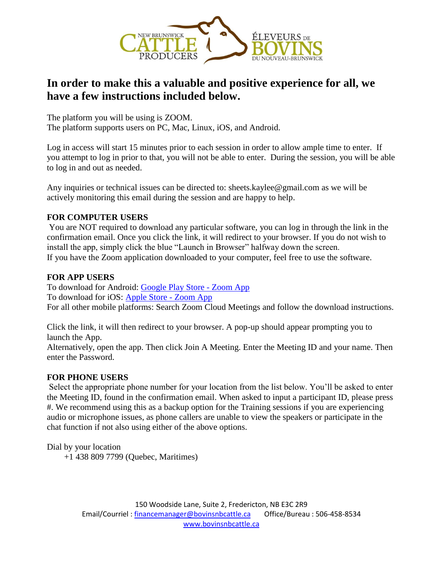

### **In order to make this a valuable and positive experience for all, we have a few instructions included below.**

The platform you will be using is ZOOM. The platform supports users on PC, Mac, Linux, iOS, and Android.

Log in access will start 15 minutes prior to each session in order to allow ample time to enter. If you attempt to log in prior to that, you will not be able to enter. During the session, you will be able to log in and out as needed.

Any inquiries or technical issues can be directed to: sheets.kaylee@gmail.com as we will be actively monitoring this email during the session and are happy to help.

#### **FOR COMPUTER USERS**

You are NOT required to download any particular software, you can log in through the link in the confirmation email. Once you click the link, it will redirect to your browser. If you do not wish to install the app, simply click the blue "Launch in Browser" halfway down the screen. If you have the Zoom application downloaded to your computer, feel free to use the software.

#### **FOR APP USERS**

To download for Android: [Google Play Store -](https://play.google.com/store/apps/details?id=us.zoom.videomeetings) Zoom App To download for iOS: [Apple Store -](https://apps.apple.com/ca/app/zoom-cloud-meetings/id546505307) Zoom App For all other mobile platforms: Search Zoom Cloud Meetings and follow the download instructions.

Click the link, it will then redirect to your browser. A pop-up should appear prompting you to launch the App.

Alternatively, open the app. Then click Join A Meeting. Enter the Meeting ID and your name. Then enter the Password.

#### **FOR PHONE USERS**

Select the appropriate phone number for your location from the list below. You'll be asked to enter the Meeting ID, found in the confirmation email. When asked to input a participant ID, please press #. We recommend using this as a backup option for the Training sessions if you are experiencing audio or microphone issues, as phone callers are unable to view the speakers or participate in the chat function if not also using either of the above options.

Dial by your location

+1 438 809 7799 (Quebec, Maritimes)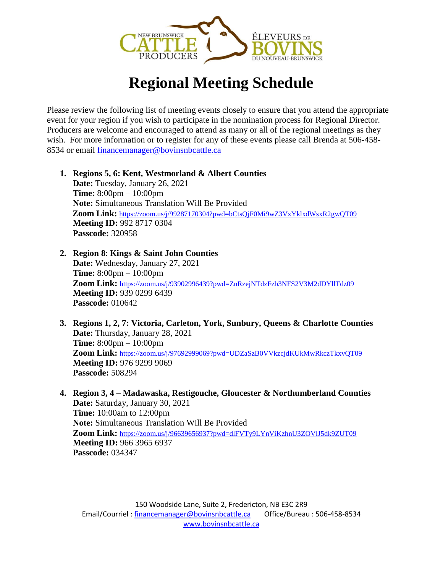

# **Regional Meeting Schedule**

Please review the following list of meeting events closely to ensure that you attend the appropriate event for your region if you wish to participate in the nomination process for Regional Director. Producers are welcome and encouraged to attend as many or all of the regional meetings as they wish. For more information or to register for any of these events please call Brenda at 506-458-8534 or email [financemanager@bovinsnbcattle.ca](mailto:financemanager@bovinsnbcattle.ca)

- **1. Regions 5, 6: Kent, Westmorland & Albert Counties Date:** Tuesday, January 26, 2021 **Time:** 8:00pm – 10:00pm **Note:** Simultaneous Translation Will Be Provided **Zoom Link:** <https://zoom.us/j/99287170304?pwd=bCtsQjF0Mi9wZ3VxYklxdWsxR2gwQT09> **Meeting ID:** 992 8717 0304 **Passcode:** 320958
- **2. Region 8**: **Kings & Saint John Counties Date:** Wednesday, January 27, 2021 **Time:** 8:00pm – 10:00pm **Zoom Link:** <https://zoom.us/j/93902996439?pwd=ZnRzejNTdzFzb3NFS2V3M2dDYllTdz09> **Meeting ID:** 939 0299 6439 **Passcode:** 010642
- **3. Regions 1, 2, 7: Victoria, Carleton, York, Sunbury, Queens & Charlotte Counties Date:** Thursday, January 28, 2021 **Time:** 8:00pm – 10:00pm Zoom Link: <https://zoom.us/j/97692999069?pwd=UDZaSzB0VVkzcjdKUkMwRkczTkxvQT09> **Meeting ID:** 976 9299 9069 **Passcode:** 508294
- **4. Region 3, 4 – Madawaska, Restigouche, Gloucester & Northumberland Counties Date:** Saturday, January 30, 2021 **Time:** 10:00am to 12:00pm **Note:** Simultaneous Translation Will Be Provided **Zoom Link:** <https://zoom.us/j/96639656937?pwd=dlFVTy9LYnViKzhnU3ZOVlJ5dk9ZUT09> **Meeting ID:** 966 3965 6937 **Passcode:** 034347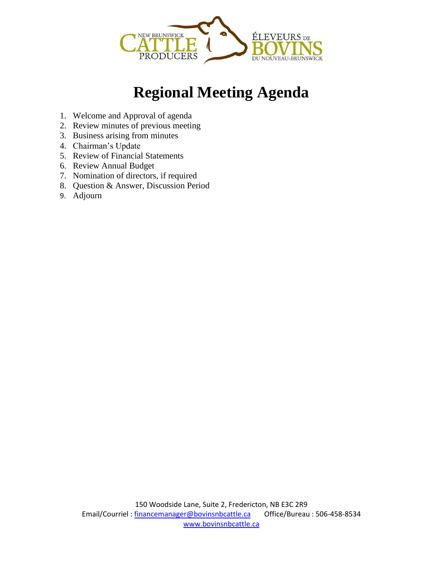

# **Regional Meeting Agenda**

- 1. Welcome and Approval of agenda
- 2. Review minutes of previous meeting
- 3. Business arising from minutes
- 4. Chairman's Update
- 5. Review of Financial Statements
- 6. Review Annual Budget
- 7. Nomination of directors, if required
- 8. Question & Answer, Discussion Period
- 9. Adjourn